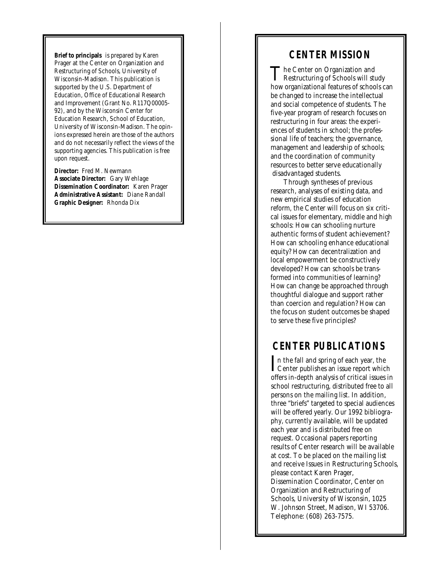**Brief to principals** is prepared by Karen Prager at the Center on Organization and Restructuring of Schools, University of Wisconsin-Madison. This publication is supported by the U.S. Department of Education, Office of Educational Research and Improvement (Grant No. R117Q00005- 92), and by the Wisconsin Center for Education Research, School of Education, University of Wisconsin-Madison. The opinions expressed herein are those of the authors and do not necessarily reflect the views of the supporting agencies. This publication is free upon request.

**Director:** Fred M. Newmann **Associate Director:** Gary Wehlage **Dissemination Coordinator:** Karen Prager **Administrative Assistant:** Diane Randall **Graphic Designer:** Rhonda Dix

### **CENTER MISSION**

The Center on Organization and<br>Restructuring of Schools will study The Center on Organization and how organizational features of schools can be changed to increase the intellectual and social competence of students. The five-year program of research focuses on restructuring in four areas: the experiences of students in school; the professional life of teachers; the governance, management and leadership of schools; and the coordination of community resources to better serve educationally disadvantaged students.

Through syntheses of previous research, analyses of existing data, and new empirical studies of education reform, the Center will focus on six critical issues for elementary, middle and high schools: How can schooling nurture authentic forms of student achievement? How can schooling enhance educational equity? How can decentralization and local empowerment be constructively developed? How can schools be transformed into communities of learning? How can change be approached through thoughtful dialogue and support rather than coercion and regulation? How can the focus on student outcomes be shaped to serve these five principles?

## **CENTER PUBLICATIONS**

In the fall and spring of each year, the<br>Center publishes an issue report which Center publishes an issue report which offers in-depth analysis of critical issues in school restructuring, distributed free to all persons on the mailing list. In addition, three "briefs" targeted to special audiences will be offered yearly. Our 1992 bibliography, currently available, will be updated each year and is distributed free on request. Occasional papers reporting results of Center research will be available at cost. To be placed on the mailing list and receive *Issues in Restructuring Schools,* please contact Karen Prager, Dissemination Coordinator, Center on Organization and Restructuring of Schools, University of Wisconsin, 1025 W. Johnson Street, Madison, WI 53706. Telephone: (608) 263-7575.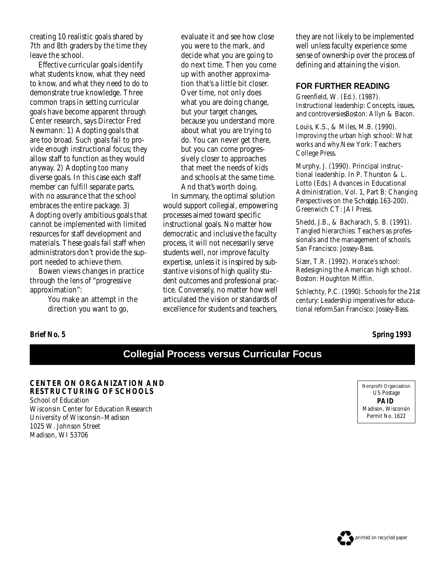creating 10 realistic goals shared by 7th and 8th graders by the time they leave the school.

Effective curricular goals identify what students know, what they need to know, and what they need to do to demonstrate true knowledge. Three common traps in setting curricular goals have become apparent through Center research, says Director Fred Newmann: 1) Adopting goals that are too broad. Such goals fail to provide enough instructional focus; they allow staff to function as they would anyway. 2) Adopting too many diverse goals. In this case each staff member can fulfill separate parts, with no assurance that the school embraces the entire package. 3) Adopting overly ambitious goals that cannot be implemented with limited resources for staff development and materials. These goals fail staff when administrators don't provide the support needed to achieve them.

Bowen views changes in practice through the lens of "progressive approximation":

> *You make an attempt in the direction you want to go,*

*evaluate it and see how close you were to the mark, and decide what you are going to do next time. Then you come up with another approximation that's a little bit closer. Over time, not only does what you are doing change, but your target changes, because you understand more about what you are trying to do. You can never get there, but you can come progressively closer to approaches that meet the needs of kids and schools at the same time. And that's worth doing.*

In summary, the optimal solution would support collegial, empowering p rocesses aimed toward specific instructional goals. No matter how democratic and inclusive the faculty process, it will not necessarily serve students well, nor improve faculty expertise, unless it is inspired by substantive visions of high quality student outcomes and professional practice. Conversely, no matter how well articulated the vision or standards of excellence for students and teachers,

they are not likely to be implemented well unless faculty experience some sense of ownership over the process of defining and attaining the vision.

### **FOR FURTHER READING**

Greenfield, W. (Ed.). (1987). *Instructional leadership: Concepts, issues, and controversies.*Boston: Allyn & Bacon.

Louis, K.S., & Miles, M.B. (1990). *Improving the urban high school: What works and why.*New York: Teachers College Press.

Murphy, J. (1990). Principal instructional leadership. In P. Thurston & L. Lotto (Eds.) *Advances in Educational Administration, Vol. 1, Part B: Changing* Perspectives on the Scho(plp.163-200). Greenwich CT: JAI Press.

Shedd, J.B., & Bacharach, S. B. (1991). *Tangled hierarchies: Teachers as professionals and the management of schools.* San Francisco: Jossey-Bass.

Sizer, T.R. (1992). *Horace's school: Redesigning the American high school.* Boston: Houghton Mifflin.

Schlechty, P.C. (1990). *Schools for the 21st century: Leadership imperatives for educational reform.*San Francisco: Jossey-Bass.

**Brief No. 5 Spring 1993**

# **Collegial Process versus Curricular Focus**

**CENTER ON ORGANIZATION AND RESTRUCTURING OF SCHOOLS** School of Education Wisconsin Center for Education Research University of Wisconsin–Madison 1025 W. Johnson Street Madison, WI 53706

Nonprofit Organization US Postage **PAID** Madison, Wisconsin Permit No. 1622

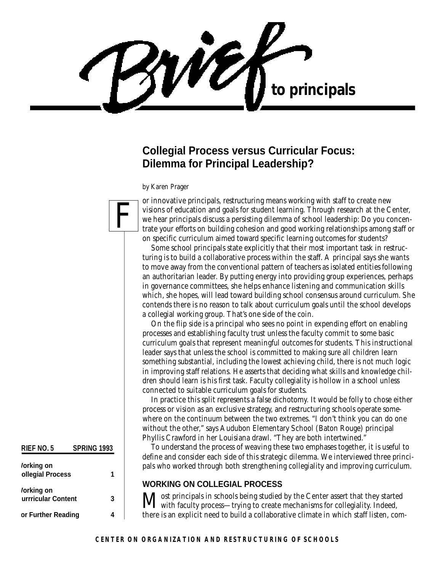WÉ **to principals**

## **Collegial Process versus Curricular Focus: Dilemma for Principal Leadership?**

*by Karen Prager*



**RIEF NO. 5 SPRING 1993**

**Collegial Process 1**

**Currricular Content 3**

**For Further Reading 4**

*<u>Iorking</u>* on

*<u>Iorking</u>* on

or innovative principals, restructuring means working with staff to create new visions of education and goals for student learning. Through research at the Center, we hear principals discuss a persisting dilemma of school leadership: Do you concentrate your efforts on building cohesion and good working relationships among staff or on specific curriculum aimed toward specific learning outcomes for students?

Some school principals state explicitly that their most important task in restructuring is to build a collaborative process within the staff. A principal says she wants to move away from the conventional pattern of teachers as isolated entities following an authoritarian leader. By putting energy into providing group experiences, perhaps in governance committees, she helps enhance listening and communication skills which, she hopes, will lead toward building school consensus around curriculum. She contends there is no reason to talk about curriculum goals until the school develops a collegial working group. That's one side of the coin.

On the flip side is a principal who sees no point in expending effort on enabling processes and establishing faculty trust unless the faculty commit to some basic curriculum goals that represent meaningful outcomes for students. This instructional leader says that unless the school is committed to making sure all children learn something substantial, including the lowest achieving child, there is not much logic in improving staff relations. He asserts that deciding what skills and knowledge children should learn is his first task. Faculty collegiality is hollow in a school unless connected to suitable curriculum goals for students.

In practice this split represents a false dichotomy. It would be folly to chose either process or vision as an exclusive strategy, and restructuring schools operate somewhere on the continuum between the two extremes. "I don't think you can do one without the other," says Audubon Elementary School (Baton Rouge) principal Phyllis Crawford in her Louisiana drawl. "They are both intertwined."

To understand the process of weaving these two emphases together, it is useful to define and consider each side of this strategic dilemma. We interviewed three principals who worked through both strengthening collegiality and improving curriculum.

### **WORKING ON COLLEGIAL PROCESS**

Most principals in schools being studied by the Center assert that they started with faculty process—trying to create mechanisms for collegiality. Indeed, there is an explicit need to build a collaborative climate in which staff listen, com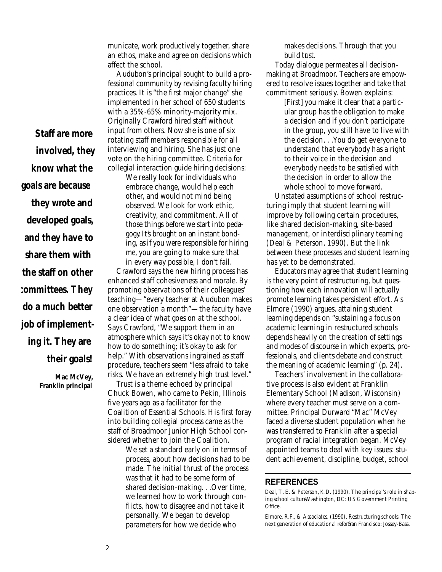municate, work productively together, share an ethos, make and agree on decisions which affect the school.

Audubon's principal sought to build a professional community by revising faculty hiring practices. It is "the first major change" she implemented in her school of 650 students with a 35%-65% minority-majority mix. Originally Crawford hired staff without input from others. Now she is one of six rotating staff members responsible for all interviewing and hiring. She has just one vote on the hiring committee. Criteria for collegial interaction guide hiring decisions:

*We really look for individuals who embrace change, would help each other, and would not mind being observed. We look for work ethic, creativity, and commitment. All of those things before we start into pedag o g y. It's brought on an instant bonding, as if you were responsible for hiring m e , you are going to make sure that in every way possible, I don't fail.*

Crawford says the new hiring process has enhanced staff cohesiveness and morale. By promoting observations of their colleagues' teaching—"every teacher at Audubon makes one observation a month"—the faculty have a clear idea of what goes on at the school. Says Crawford, "We support them in an atmosphere which says it's okay not to know how to do something; it's okay to ask for help." With observations ingrained as staff procedure, teachers seem "less afraid to take risks. We have an extremely high trust level."

Trust is a theme echoed by principal Chuck Bowen, who came to Pekin, Illinois five years ago as a facilitator for the Coalition of Essential Schools. His first foray into building collegial process came as the staff of Broadmoor Junior High School considered whether to join the Coalition.

> *We set a standard early on in terms of process, about how decisions had to be made. The initial thrust of the process was that it had to be some form of shared decision-making. . .Over time, we learned how to work through conflicts, how to disagree and not take it personally. We began to develop parameters for how we decide who*

*makes decisions. Through that you* build trust.

Today dialogue permeates all decisionmaking at Broadmoor. Teachers are empowered to resolve issues together and take that commitment seriously. Bowen explains:

> *[First] you make it clear that a particular group has the obligation to make a decision and if you don't participate in the group, you still have to live with the decision. . .You do get everyone to understand that everybody has a right to their voice in the decision and everybody needs to be satisfied with the decision in order to allow the whole school to move forward.*

Unstated assumptions of school restructuring imply that student learning will improve by following certain procedures, like shared decision-making, site-based management, or interdisciplinary teaming (Deal & Peterson, 1990). But the link between these processes and student learning has yet to be demonstrated.

Educators may agree that student learning is the very point of restructuring, but questioning how each innovation will actually promote learning takes persistent effort. As Elmore (1990) argues, attaining student learning depends on "sustaining a focus on academic learning in restructured schools depends heavily on the creation of settings and modes of discourse in which experts, professionals, and clients debate and construct the meaning of academic learning" (p. 24).

Teachers' involvement in the collaborative process is also evident at Franklin Elementary School (Madison, Wisconsin) where every teacher must serve on a committee. Principal Durward "Mac" McVey faced a diverse student population when he was transferred to Franklin after a special program of racial integration began. McVey appointed teams to deal with key issues: student achievement, discipline, budget, school

#### **REFERENCES**

Deal, T. E. & Peterson, K.D. (1990). *The principal's role in shap*ing school cultureWashington, DC: US Government Printing Office.

Elmore, R.F., & Associates. (1990). *Restructuring schools: The* next generation of educational reforSan Francisco: Jossey-Bass.

*Staff are more involved, they know what the goals are because they wrote and developed goals, and they have to share them with the staff on other committees. They*

*job of implement-*

*do a much better*

*ing it. They are*

*their goals!*

**Mac McVey, Franklin principal**